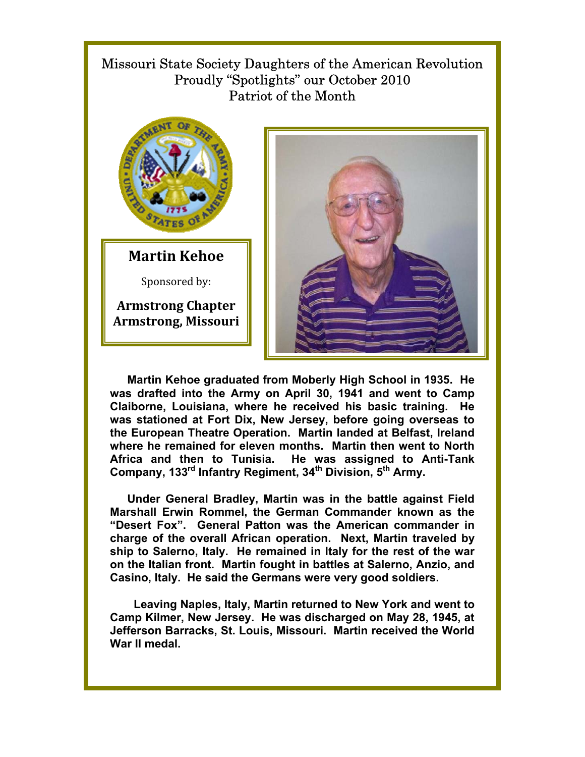## Missouri State Society Daughters of the American Revolution Proudly "Spotlights" our October 2010 Patriot of the Month



**Martin Kehoe** 

Sponsored by:

**Armstrong Chapter Armstrong, Missouri**



**Martin Kehoe graduated from Moberly High School in 1935. He was drafted into the Army on April 30, 1941 and went to Camp Claiborne, Louisiana, where he received his basic training. He was stationed at Fort Dix, New Jersey, before going overseas to the European Theatre Operation. Martin landed at Belfast, Ireland where he remained for eleven months. Martin then went to North Africa and then to Tunisia. He was assigned to Anti-Tank**  Company, 133<sup>rd</sup> Infantry Regiment, 34<sup>th</sup> Division, 5<sup>th</sup> Army.

**Under General Bradley, Martin was in the battle against Field Marshall Erwin Rommel, the German Commander known as the "Desert Fox". General Patton was the American commander in charge of the overall African operation. Next, Martin traveled by ship to Salerno, Italy. He remained in Italy for the rest of the war on the Italian front. Martin fought in battles at Salerno, Anzio, and Casino, Italy. He said the Germans were very good soldiers.** 

 **Leaving Naples, Italy, Martin returned to New York and went to Camp Kilmer, New Jersey. He was discharged on May 28, 1945, at Jefferson Barracks, St. Louis, Missouri. Martin received the World War II medal.**